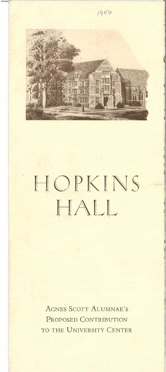

## HOPKINS HALL

AGNES SCOTT ALUMNAE'S PROPOSED CONTRIBUTION TO THE UNIVERSITY CENTER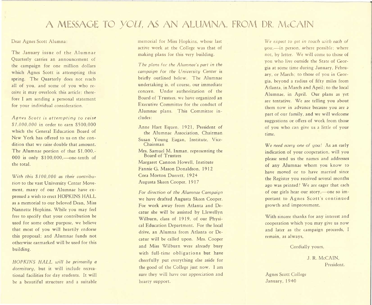## A MESSAGE TO *YOU*, AS AN ALUMNA, FROM DR. McCAIN

## Dear Agnes Scott Alumna:

The January issue of the Alumnae Quarterly carries an announcement of the campaign for one million dollars which Agnes Scott is attempting this spring. The Quarterly does not reach all of you, and some of you who receive it may overlook this article; therefore I am sending a personal statement for your individual consideration.

*Agnes Scott is attempting to raise \$1,000,000* in order to earn \$500,000 which the General Education Board of New York has offered to us on the condition that we raise double that amount. The Alumnae portion of that \$1,000,-<br>000 is only \$100,000,—one-tenth of the total.

*With this \$ I 00,000 as their contribution* to the vast University Center Movement, many of our Alumnae have expressed a wish to erect HOPKINS HALL as a memorial to our beloved Dean, Miss Nannette Hopkins. While you may feel free to specify that your contribution be used for some other purpose, we believe that most of you will heartily endorse this proposal; and Alumnae funds not otherwise earmarked will be used for this building.

*HOPKINS HALL will be primarily a dormitory,* but it will include recreational facilities for day students. It will be a beautiful structure and a suitable

memorial for Miss Hopkins, whose last active work at the College was that of making plans for this very building.

*The plans for the Alumnae's part in the campaign for the University Center* is briefly outlined below. The Alumnae undertaking is, of course, our immediate concern. Under authorization of the Board of Trustees, we have organized an Executive Committee for the conduct of Alumnae plans. This Committee includes:

Anne Hart Equen, 1921, President of the Alumnae Association, Chairman Susan Young Eagan, Institute, Vice-Chairman Mrs. Samuel M. Inman, representing the Board of Trustees Margaret Cannon Howell, Institute Fannie G. Mason Donaldson, 1912 Cora Morton Durrett, 1924 Augusta Skeen Cooper, 1917

*For direction of the Alumnae Campaign*  we have drafted Augusta Skeen Cooper. For work away from Atlanta and Decatur she will be assisted by Llewellyn Wilburn, class of 1919, of our Physical Education Department. For the local drive, an Alumna from Atlanta or Decatur will be called upon. Mrs. Cooper and Miss Wilburn were already busy with full-time obligations but have cheerfully put everything else aside for the good of the College just now. I am sure they will have our appreciation and hearty support.

We expect to get in touch with each of **you,—in person, where possible;** where not, by letter. We will come to those of you who live outside the State of Georgia at some time during January, February, or March; to those of you in Georgia, beyond a radius of fifty miles from Atlanta, in March and April; to the local Alumnae, in April. Our plans as yet are tentative. We are telling you about them now in advance because you are a part of our family, and we will welcome suggestions or offers of work from those of you who can give us a little of your time.

*We need every one of you!* As an early indication of your cooperation, will you please send us the names and addresses of any Alumnae whom you know to have moved or to have married since the Register you received several months ago was printed? We are eager that each of our girls hear our story,-one so important to Agnes Scott's continued growth and improvement.

With sincere thanks for any interest and cooperation which you may give us now and later as the campaign proceeds, I remain, as always,

Cordially yours,

J. R. McCAIN, President.

Agnes Scott College January, 1940